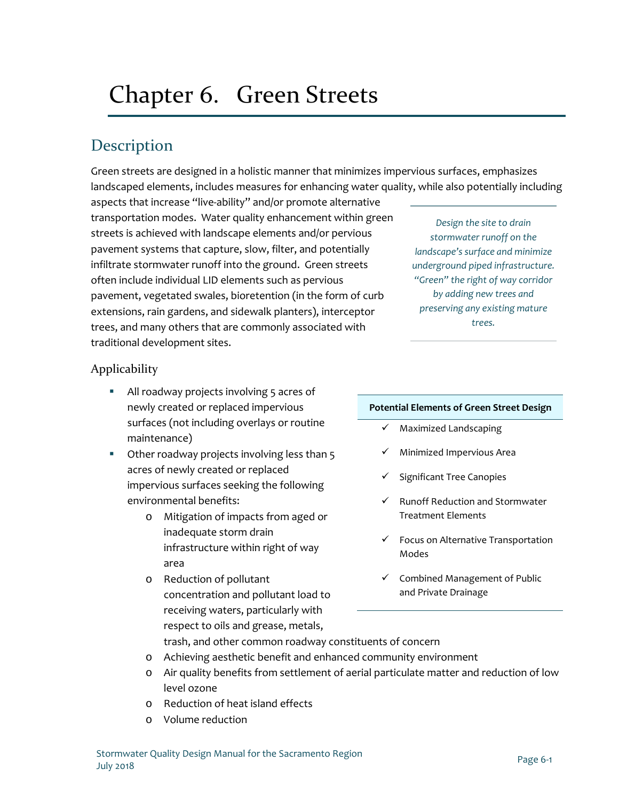# Chapter 6. Green Streets

# **Description**

Green streets are designed in a holistic manner that minimizes impervious surfaces, emphasizes landscaped elements, includes measures for enhancing water quality, while also potentially including

aspects that increase "live-ability" and/or promote alternative transportation modes. Water quality enhancement within green streets is achieved with landscape elements and/or pervious pavement systems that capture, slow, filter, and potentially infiltrate stormwater runoff into the ground. Green streets often include individual LID elements such as pervious pavement, vegetated swales, bioretention (in the form of curb extensions, rain gardens, and sidewalk planters), interceptor trees, and many others that are commonly associated with traditional development sites.

### Applicability

- All roadway projects involving 5 acres of newly created or replaced impervious surfaces (not including overlays or routine maintenance)
- Other roadway projects involving less than 5 acres of newly created or replaced impervious surfaces seeking the following environmental benefits:
	- o Mitigation of impacts from aged or inadequate storm drain infrastructure within right of way area
	- o Reduction of pollutant concentration and pollutant load to receiving waters, particularly with respect to oils and grease, metals,

#### **Potential Elements of Green Street Design**

- $\checkmark$  Maximized Landscaping
- $\checkmark$  Minimized Impervious Area
- $\checkmark$  Significant Tree Canopies
- $\checkmark$  Runoff Reduction and Stormwater Treatment Elements
- $\checkmark$  Focus on Alternative Transportation Modes
- $\checkmark$  Combined Management of Public and Private Drainage

trash, and other common roadway constituents of concern

- o Achieving aesthetic benefit and enhanced community environment
- o Air quality benefits from settlement of aerial particulate matter and reduction of low level ozone
- o Reduction of heat island effects
- o Volume reduction

*Design the site to drain stormwater runoff on the landscape's surface and minimize underground piped infrastructure. "Green" the right of way corridor by adding new trees and preserving any existing mature trees.*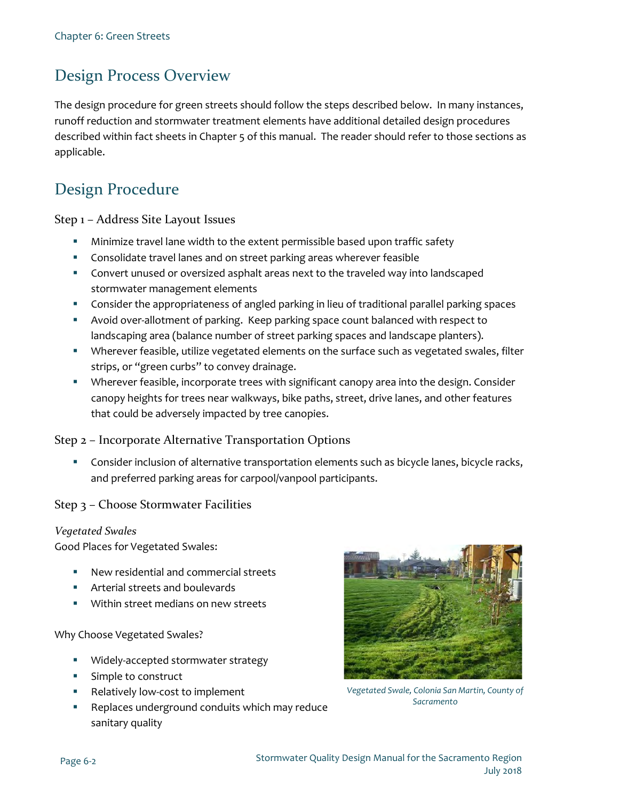# Design Process Overview

The design procedure for green streets should follow the steps described below. In many instances, runoff reduction and stormwater treatment elements have additional detailed design procedures described within fact sheets in Chapter 5 of this manual. The reader should refer to those sections as applicable.

## Design Procedure

Step 1 – Address Site Layout Issues

- Minimize travel lane width to the extent permissible based upon traffic safety
- Consolidate travel lanes and on street parking areas wherever feasible
- Convert unused or oversized asphalt areas next to the traveled way into landscaped stormwater management elements
- Consider the appropriateness of angled parking in lieu of traditional parallel parking spaces
- Avoid over-allotment of parking. Keep parking space count balanced with respect to landscaping area (balance number of street parking spaces and landscape planters).
- Wherever feasible, utilize vegetated elements on the surface such as vegetated swales, filter strips, or "green curbs" to convey drainage.
- Wherever feasible, incorporate trees with significant canopy area into the design. Consider canopy heights for trees near walkways, bike paths, street, drive lanes, and other features that could be adversely impacted by tree canopies.

#### Step 2 – Incorporate Alternative Transportation Options

 Consider inclusion of alternative transportation elements such as bicycle lanes, bicycle racks, and preferred parking areas for carpool/vanpool participants.

#### Step 3 – Choose Stormwater Facilities

#### *Vegetated Swales*

Good Places for Vegetated Swales:

- New residential and commercial streets
- Arterial streets and boulevards
- Within street medians on new streets

Why Choose Vegetated Swales?

- **Widely-accepted stormwater strategy**
- **Simple to construct**
- Relatively low-cost to implement
- Replaces underground conduits which may reduce sanitary quality



*Vegetated Swale, Colonia San Martin, County of Sacramento*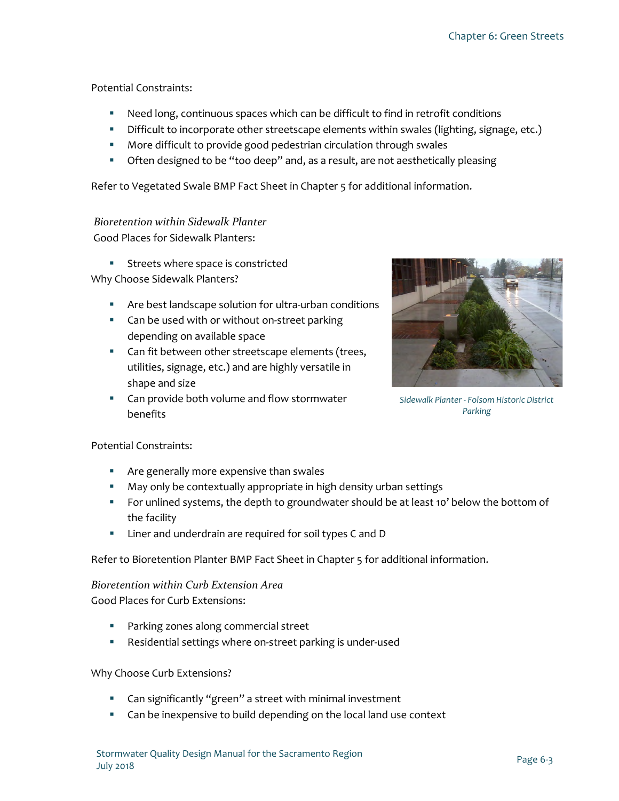#### Potential Constraints:

- Need long, continuous spaces which can be difficult to find in retrofit conditions
- Difficult to incorporate other streetscape elements within swales (lighting, signage, etc.)
- **More difficult to provide good pedestrian circulation through swales**
- **•** Often designed to be "too deep" and, as a result, are not aesthetically pleasing

Refer to Vegetated Swale BMP Fact Sheet in Chapter 5 for additional information.

### *Bioretention within Sidewalk Planter*

Good Places for Sidewalk Planters:

**Streets where space is constricted** 

Why Choose Sidewalk Planters?

- Are best landscape solution for ultra-urban conditions
- **Can be used with or without on-street parking** depending on available space
- **Can fit between other streetscape elements (trees,** utilities, signage, etc.) and are highly versatile in shape and size
- **EXTER** Can provide both volume and flow stormwater benefits



*Sidewalk Planter - Folsom Historic District Parking*

#### Potential Constraints:

- **Are generally more expensive than swales**
- **May only be contextually appropriate in high density urban settings**
- For unlined systems, the depth to groundwater should be at least 10' below the bottom of the facility
- **EXECT** Liner and underdrain are required for soil types C and D

Refer to Bioretention Planter BMP Fact Sheet in Chapter 5 for additional information.

#### *Bioretention within Curb Extension Area* Good Places for Curb Extensions:

- **Parking zones along commercial street**
- Residential settings where on-street parking is under-used

#### Why Choose Curb Extensions?

- **EXT** Can significantly "green" a street with minimal investment
- **EXTER** Can be inexpensive to build depending on the local land use context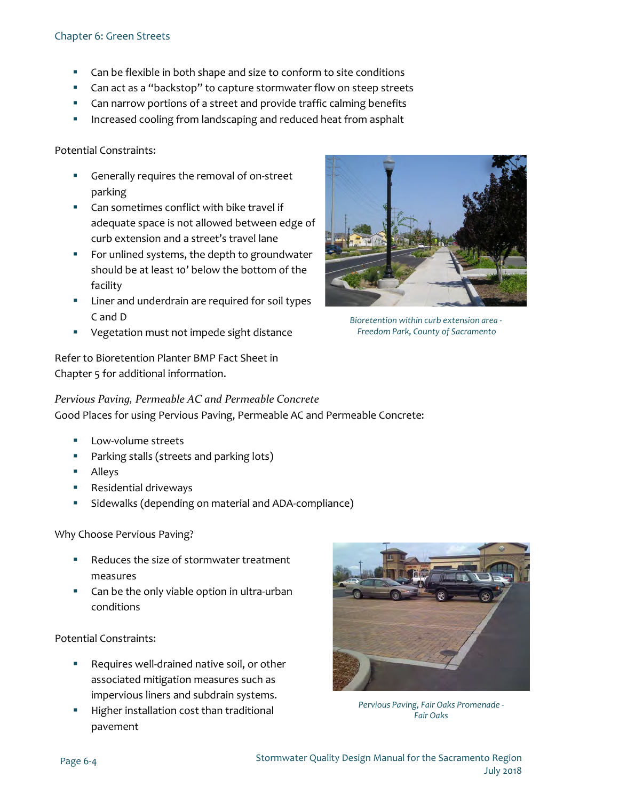#### Chapter 6: Green Streets

- **EXTER** Can be flexible in both shape and size to conform to site conditions
- **EXEC** Can act as a "backstop" to capture stormwater flow on steep streets
- **EXTER** Can narrow portions of a street and provide traffic calming benefits
- Increased cooling from landscaping and reduced heat from asphalt

Potential Constraints:

- Generally requires the removal of on-street parking
- **EXEC** Can sometimes conflict with bike travel if adequate space is not allowed between edge of curb extension and a street's travel lane
- **For unlined systems, the depth to groundwater** should be at least 10' below the bottom of the facility
- **EXEC** Liner and underdrain are required for soil types C and D
- **•** Vegetation must not impede sight distance

Refer to Bioretention Planter BMP Fact Sheet in Chapter 5 for additional information.



*Bioretention within curb extension area - Freedom Park, County of Sacramento*

*Pervious Paving, Permeable AC and Permeable Concrete*

Good Places for using Pervious Paving, Permeable AC and Permeable Concrete:

- Low-volume streets
- **Parking stalls (streets and parking lots)**
- **Alleys**
- **Residential driveways**
- Sidewalks (depending on material and ADA-compliance)

Why Choose Pervious Paving?

- Reduces the size of stormwater treatment measures
- Can be the only viable option in ultra-urban conditions

Potential Constraints:

- Requires well-drained native soil, or other associated mitigation measures such as impervious liners and subdrain systems.
- Higher installation cost than traditional pavement



*Pervious Paving, Fair Oaks Promenade - Fair Oaks*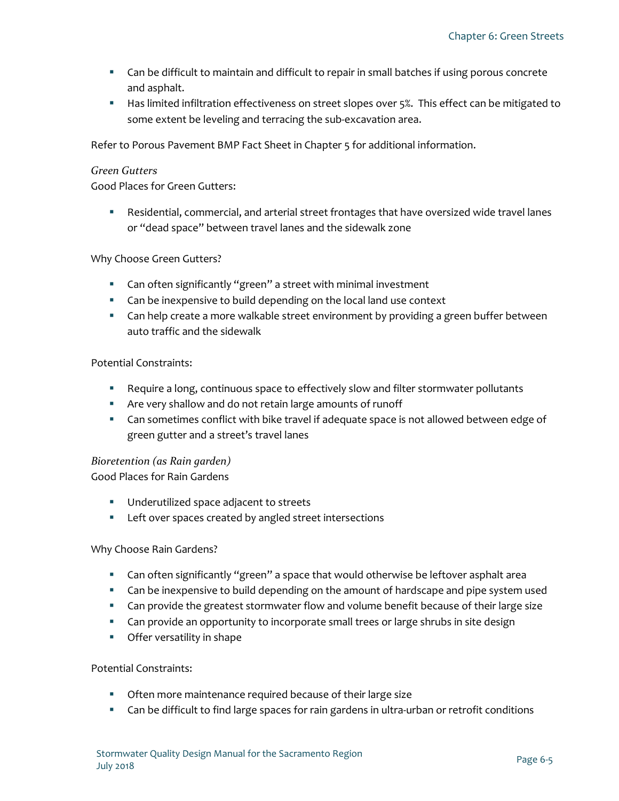- Can be difficult to maintain and difficult to repair in small batches if using porous concrete and asphalt.
- **Has limited infiltration effectiveness on street slopes over 5%. This effect can be mitigated to** some extent be leveling and terracing the sub-excavation area.

Refer to Porous Pavement BMP Fact Sheet in Chapter 5 for additional information.

#### *Green Gutters*

Good Places for Green Gutters:

 Residential, commercial, and arterial street frontages that have oversized wide travel lanes or "dead space" between travel lanes and the sidewalk zone

#### Why Choose Green Gutters?

- Can often significantly "green" a street with minimal investment
- **EXTE:** Can be inexpensive to build depending on the local land use context
- **EX Can help create a more walkable street environment by providing a green buffer between** auto traffic and the sidewalk

#### Potential Constraints:

- Require a long, continuous space to effectively slow and filter stormwater pollutants
- Are very shallow and do not retain large amounts of runoff
- **EX Can sometimes conflict with bike travel if adequate space is not allowed between edge of** green gutter and a street's travel lanes

#### *Bioretention (as Rain garden)*

Good Places for Rain Gardens

- **Underutilized space adjacent to streets**
- **EXECTE Left over spaces created by angled street intersections**

#### Why Choose Rain Gardens?

- **EXED A** Can often significantly "green" a space that would otherwise be leftover asphalt area
- Can be inexpensive to build depending on the amount of hardscape and pipe system used
- **EX Can provide the greatest stormwater flow and volume benefit because of their large size**
- **EXED 10** Can provide an opportunity to incorporate small trees or large shrubs in site design
- **•** Offer versatility in shape

#### Potential Constraints:

- **Often more maintenance required because of their large size**
- Can be difficult to find large spaces for rain gardens in ultra-urban or retrofit conditions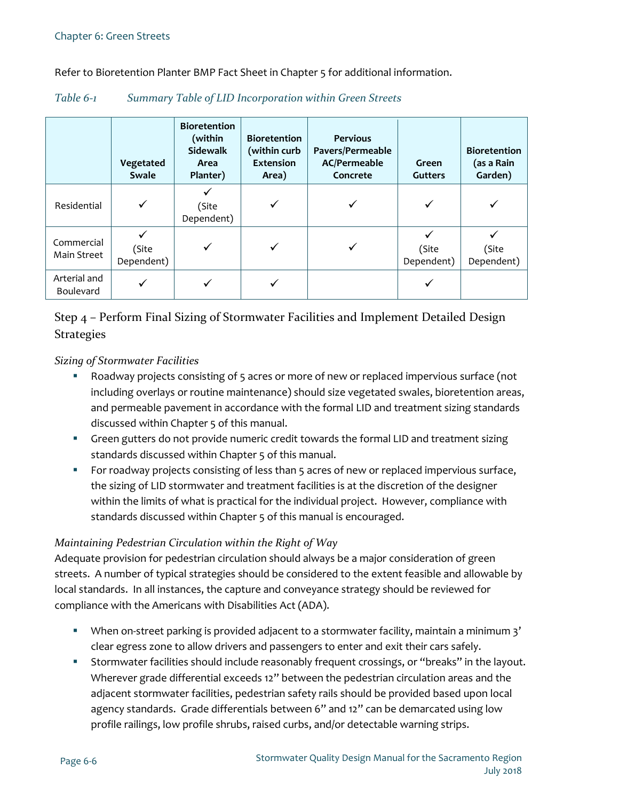Refer to Bioretention Planter BMP Fact Sheet in Chapter 5 for additional information.

| Table $6-1$ |  |  | Summary Table of LID Incorporation within Green Streets |  |  |
|-------------|--|--|---------------------------------------------------------|--|--|
|-------------|--|--|---------------------------------------------------------|--|--|

|                           | Vegetated<br><b>Swale</b> | <b>Bioretention</b><br>(within<br><b>Sidewalk</b><br>Area<br>Planter) | <b>Bioretention</b><br>(within curb<br><b>Extension</b><br>Area) | <b>Pervious</b><br>Pavers/Permeable<br><b>AC/Permeable</b><br>Concrete | Green<br><b>Gutters</b> | <b>Bioretention</b><br>(as a Rain<br>Garden) |
|---------------------------|---------------------------|-----------------------------------------------------------------------|------------------------------------------------------------------|------------------------------------------------------------------------|-------------------------|----------------------------------------------|
| Residential               | ✓                         | (Site<br>Dependent)                                                   |                                                                  |                                                                        |                         |                                              |
| Commercial<br>Main Street | (Site<br>Dependent)       |                                                                       |                                                                  |                                                                        | (Site<br>Dependent)     | (Site<br>Dependent)                          |
| Arterial and<br>Boulevard | ✔                         |                                                                       |                                                                  |                                                                        |                         |                                              |

### Step 4 – Perform Final Sizing of Stormwater Facilities and Implement Detailed Design **Strategies**

#### *Sizing of Stormwater Facilities*

- Roadway projects consisting of 5 acres or more of new or replaced impervious surface (not including overlays or routine maintenance) should size vegetated swales, bioretention areas, and permeable pavement in accordance with the formal LID and treatment sizing standards discussed within Chapter 5 of this manual.
- **Green gutters do not provide numeric credit towards the formal LID and treatment sizing** standards discussed within Chapter 5 of this manual.
- For roadway projects consisting of less than 5 acres of new or replaced impervious surface, the sizing of LID stormwater and treatment facilities is at the discretion of the designer within the limits of what is practical for the individual project. However, compliance with standards discussed within Chapter 5 of this manual is encouraged.

#### *Maintaining Pedestrian Circulation within the Right of Way*

Adequate provision for pedestrian circulation should always be a major consideration of green streets. A number of typical strategies should be considered to the extent feasible and allowable by local standards. In all instances, the capture and conveyance strategy should be reviewed for compliance with the Americans with Disabilities Act (ADA).

- When on-street parking is provided adjacent to a stormwater facility, maintain a minimum 3' clear egress zone to allow drivers and passengers to enter and exit their cars safely.
- Stormwater facilities should include reasonably frequent crossings, or "breaks" in the layout. Wherever grade differential exceeds 12" between the pedestrian circulation areas and the adjacent stormwater facilities, pedestrian safety rails should be provided based upon local agency standards. Grade differentials between 6" and 12" can be demarcated using low profile railings, low profile shrubs, raised curbs, and/or detectable warning strips.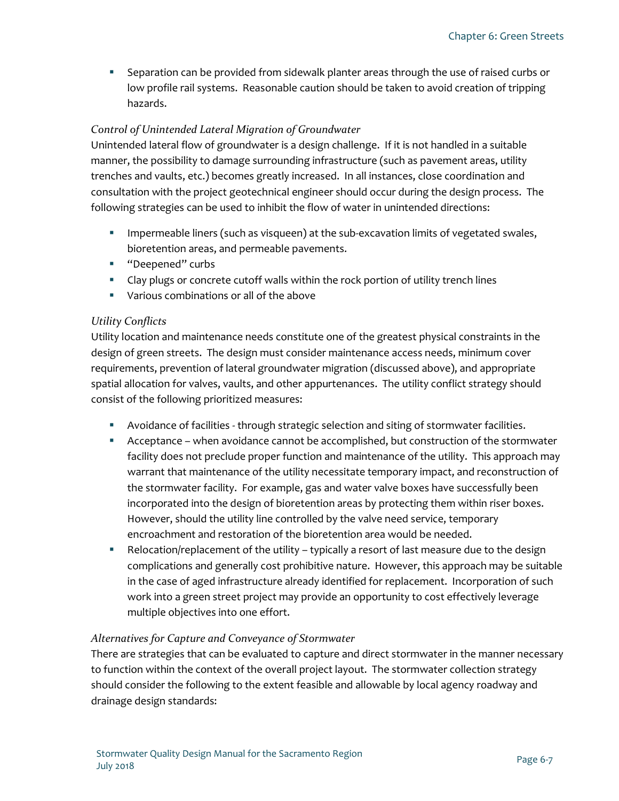Separation can be provided from sidewalk planter areas through the use of raised curbs or low profile rail systems. Reasonable caution should be taken to avoid creation of tripping hazards.

### *Control of Unintended Lateral Migration of Groundwater*

Unintended lateral flow of groundwater is a design challenge. If it is not handled in a suitable manner, the possibility to damage surrounding infrastructure (such as pavement areas, utility trenches and vaults, etc.) becomes greatly increased. In all instances, close coordination and consultation with the project geotechnical engineer should occur during the design process. The following strategies can be used to inhibit the flow of water in unintended directions:

- **IMPEREADE REGO** INDERGON As visqueen) at the sub-excavation limits of vegetated swales, bioretention areas, and permeable pavements.
- **"** "Deepened" curbs
- Clay plugs or concrete cutoff walls within the rock portion of utility trench lines
- Various combinations or all of the above

#### *Utility Conflicts*

Utility location and maintenance needs constitute one of the greatest physical constraints in the design of green streets. The design must consider maintenance access needs, minimum cover requirements, prevention of lateral groundwater migration (discussed above), and appropriate spatial allocation for valves, vaults, and other appurtenances. The utility conflict strategy should consist of the following prioritized measures:

- Avoidance of facilities through strategic selection and siting of stormwater facilities.
- Acceptance when avoidance cannot be accomplished, but construction of the stormwater facility does not preclude proper function and maintenance of the utility. This approach may warrant that maintenance of the utility necessitate temporary impact, and reconstruction of the stormwater facility. For example, gas and water valve boxes have successfully been incorporated into the design of bioretention areas by protecting them within riser boxes. However, should the utility line controlled by the valve need service, temporary encroachment and restoration of the bioretention area would be needed.
- Relocation/replacement of the utility typically a resort of last measure due to the design complications and generally cost prohibitive nature. However, this approach may be suitable in the case of aged infrastructure already identified for replacement. Incorporation of such work into a green street project may provide an opportunity to cost effectively leverage multiple objectives into one effort.

#### *Alternatives for Capture and Conveyance of Stormwater*

There are strategies that can be evaluated to capture and direct stormwater in the manner necessary to function within the context of the overall project layout. The stormwater collection strategy should consider the following to the extent feasible and allowable by local agency roadway and drainage design standards: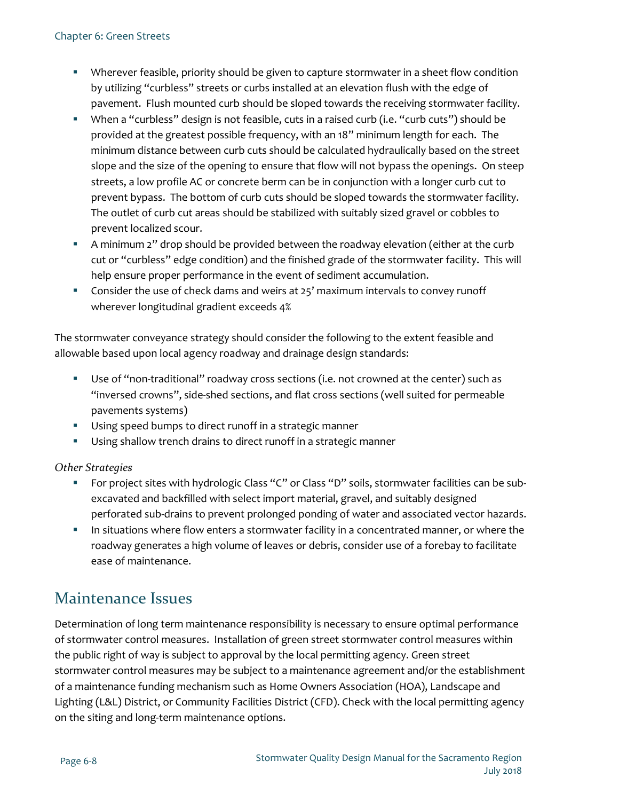- Wherever feasible, priority should be given to capture stormwater in a sheet flow condition by utilizing "curbless" streets or curbs installed at an elevation flush with the edge of pavement. Flush mounted curb should be sloped towards the receiving stormwater facility.
- When a "curbless" design is not feasible, cuts in a raised curb (i.e. "curb cuts") should be provided at the greatest possible frequency, with an 18" minimum length for each. The minimum distance between curb cuts should be calculated hydraulically based on the street slope and the size of the opening to ensure that flow will not bypass the openings. On steep streets, a low profile AC or concrete berm can be in conjunction with a longer curb cut to prevent bypass. The bottom of curb cuts should be sloped towards the stormwater facility. The outlet of curb cut areas should be stabilized with suitably sized gravel or cobbles to prevent localized scour.
- A minimum 2" drop should be provided between the roadway elevation (either at the curb cut or "curbless" edge condition) and the finished grade of the stormwater facility. This will help ensure proper performance in the event of sediment accumulation.
- Consider the use of check dams and weirs at 25' maximum intervals to convey runoff wherever longitudinal gradient exceeds 4%

The stormwater conveyance strategy should consider the following to the extent feasible and allowable based upon local agency roadway and drainage design standards:

- Use of "non-traditional" roadway cross sections (i.e. not crowned at the center) such as "inversed crowns", side-shed sections, and flat cross sections (well suited for permeable pavements systems)
- Using speed bumps to direct runoff in a strategic manner
- **Using shallow trench drains to direct runoff in a strategic manner**

*Other Strategies*

- **For project sites with hydrologic Class "C" or Class "D" soils, stormwater facilities can be sub**excavated and backfilled with select import material, gravel, and suitably designed perforated sub-drains to prevent prolonged ponding of water and associated vector hazards.
- **IF In situations where flow enters a stormwater facility in a concentrated manner, or where the** roadway generates a high volume of leaves or debris, consider use of a forebay to facilitate ease of maintenance.

# Maintenance Issues

Determination of long term maintenance responsibility is necessary to ensure optimal performance of stormwater control measures. Installation of green street stormwater control measures within the public right of way is subject to approval by the local permitting agency. Green street stormwater control measures may be subject to a maintenance agreement and/or the establishment of a maintenance funding mechanism such as Home Owners Association (HOA), Landscape and Lighting (L&L) District, or Community Facilities District (CFD). Check with the local permitting agency on the siting and long-term maintenance options.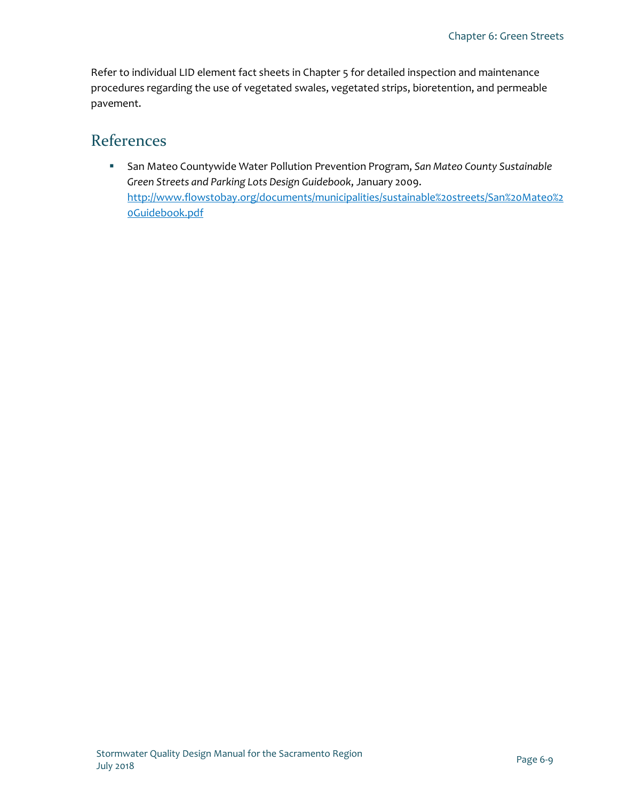Refer to individual LID element fact sheets in Chapter 5 for detailed inspection and maintenance procedures regarding the use of vegetated swales, vegetated strips, bioretention, and permeable pavement.

### References

 San Mateo Countywide Water Pollution Prevention Program, *San Mateo County Sustainable Green Streets and Parking Lots Design Guidebook*, January 2009. [http://www.flowstobay.org/documents/municipalities/sustainable%20streets/San%20Mateo%2](http://www.flowstobay.org/documents/municipalities/sustainable%20streets/San%20Mateo%20Guidebook.pdf) [0Guidebook.pdf](http://www.flowstobay.org/documents/municipalities/sustainable%20streets/San%20Mateo%20Guidebook.pdf)